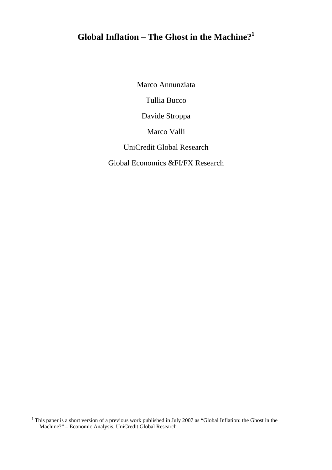# **Global Inflation – The Ghost in the Machine?1**

Marco Annunziata

Tullia Bucco

Davide Stroppa

Marco Valli

UniCredit Global Research

Global Economics &FI/FX Research

<sup>&</sup>lt;sup>1</sup> This paper is a short version of a previous work published in July 2007 as "Global Inflation: the Ghost in the Machine?" – Economic Analysis, UniCredit Global Research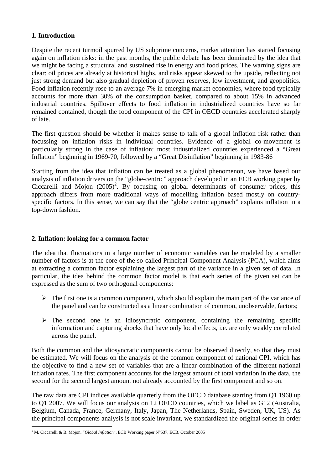# **1. Introduction**

Despite the recent turmoil spurred by US subprime concerns, market attention has started focusing again on inflation risks: in the past months, the public debate has been dominated by the idea that we might be facing a structural and sustained rise in energy and food prices. The warning signs are clear: oil prices are already at historical highs, and risks appear skewed to the upside, reflecting not just strong demand but also gradual depletion of proven reserves, low investment, and geopolitics. Food inflation recently rose to an average 7% in emerging market economies, where food typically accounts for more than 30% of the consumption basket, compared to about 15% in advanced industrial countries. Spillover effects to food inflation in industrialized countries have so far remained contained, though the food component of the CPI in OECD countries accelerated sharply of late.

The first question should be whether it makes sense to talk of a global inflation risk rather than focussing on inflation risks in individual countries. Evidence of a global co-movement is particularly strong in the case of inflation: most industrialized countries experienced a "Great Inflation" beginning in 1969-70, followed by a "Great Disinflation" beginning in 1983-86

Starting from the idea that inflation can be treated as a global phenomenon, we have based our analysis of inflation drivers on the "globe-centric" approach developed in an ECB working paper by Ciccarelli and Mojon  $(2005)^2$ . By focusing on global determinants of consumer prices, this approach differs from more traditional ways of modelling inflation based mostly on countryspecific factors. In this sense, we can say that the "globe centric approach" explains inflation in a top-down fashion.

# **2. Inflation: looking for a common factor**

The idea that fluctuations in a large number of economic variables can be modeled by a smaller number of factors is at the core of the so-called Principal Component Analysis (PCA), which aims at extracting a common factor explaining the largest part of the variance in a given set of data. In particular, the idea behind the common factor model is that each series of the given set can be expressed as the sum of two orthogonal components:

- $\triangleright$  The first one is a common component, which should explain the main part of the variance of the panel and can be constructed as a linear combination of common, unobservable, factors;
- $\triangleright$  The second one is an idiosyncratic component, containing the remaining specific information and capturing shocks that have only local effects, i.e. are only weakly correlated across the panel.

Both the common and the idiosyncratic components cannot be observed directly, so that they must be estimated. We will focus on the analysis of the common component of national CPI, which has the objective to find a new set of variables that are a linear combination of the different national inflation rates. The first component accounts for the largest amount of total variation in the data, the second for the second largest amount not already accounted by the first component and so on.

The raw data are CPI indices available quarterly from the OECD database starting from Q1 1960 up to Q1 2007. We will focus our analysis on 12 OECD countries, which we label as G12 (Australia, Belgium, Canada, France, Germany, Italy, Japan, The Netherlands, Spain, Sweden, UK, US). As the principal components analysis is not scale invariant, we standardized the original series in order

 2 M. Ciccarelli & B. Mojon, "*Global Inflation*", ECB Working paper N°537, ECB, October 2005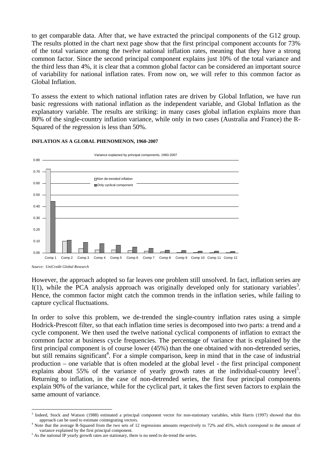to get comparable data. After that, we have extracted the principal components of the G12 group. The results plotted in the chart next page show that the first principal component accounts for 73% of the total variance among the twelve national inflation rates, meaning that they have a strong common factor. Since the second principal component explains just 10% of the total variance and the third less than 4%, it is clear that a common global factor can be considered an important source of variability for national inflation rates. From now on, we will refer to this common factor as Global Inflation.

To assess the extent to which national inflation rates are driven by Global Inflation, we have run basic regressions with national inflation as the independent variable, and Global Inflation as the explanatory variable. The results are striking: in many cases global inflation explains more than 80% of the single-country inflation variance, while only in two cases (Australia and France) the R-Squared of the regression is less than 50%.



#### **INFLATION AS A GLOBAL PHENOMENON, 1960-2007**

However, the approach adopted so far leaves one problem still unsolved. In fact, inflation series are  $I(1)$ , while the PCA analysis approach was originally developed only for stationary variables<sup>3</sup>. Hence, the common factor might catch the common trends in the inflation series, while failing to capture cyclical fluctuations.

In order to solve this problem, we de-trended the single-country inflation rates using a simple Hodrick-Prescott filter, so that each inflation time series is decomposed into two parts: a trend and a cycle component. We then used the twelve national cyclical components of inflation to extract the common factor at business cycle frequencies. The percentage of variance that is explained by the first principal component is of course lower (45%) than the one obtained with non-detrended series, but still remains significant<sup>4</sup>. For a simple comparison, keep in mind that in the case of industrial production – one variable that is often modeled at the global level - the first principal component explains about 55% of the variance of yearly growth rates at the individual-country level<sup>5</sup>. Returning to inflation, in the case of non-detrended series, the first four principal components explain 90% of the variance, while for the cyclical part, it takes the first seven factors to explain the same amount of variance.

 $\overline{a}$ <sup>3</sup> Indeed, Stock and Watson (1988) estimated a principal component vector for non-stationary variables, while Harris (1997) showed that this approach can be used to estimate cointegrating vectors. 4

Note that the average R-Squared from the two sets of 12 regressions amounts respectively to 72% and 45%, which correspond to the amount of variance explained by the first principal component.

 $<sup>5</sup>$  As the national IP yearly growth rates are stationary, there is no need to de-trend the series.</sup>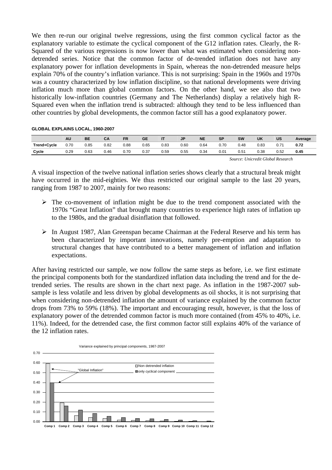We then re-run our original twelve regressions, using the first common cyclical factor as the explanatory variable to estimate the cyclical component of the G12 inflation rates. Clearly, the R-Squared of the various regressions is now lower than what was estimated when considering nondetrended series. Notice that the common factor of de-trended inflation does not have any explanatory power for inflation developments in Spain, whereas the non-detrended measure helps explain 70% of the country's inflation variance. This is not surprising: Spain in the 1960s and 1970s was a country characterized by low inflation discipline, so that national developments were driving inflation much more than global common factors. On the other hand, we see also that two historically low-inflation countries (Germany and The Netherlands) display a relatively high R-Squared even when the inflation trend is subtracted: although they tend to be less influenced than other countries by global developments, the common factor still has a good explanatory power.

#### **GLOBAL EXPLAINS LOCAL, 1960-2007**

|             | AU   | BE   | CA   | <b>FR</b> | GE   | IT   | <b>JP</b> | <b>NE</b> | <b>SP</b> | <b>SW</b> | UK   | US   | Average |
|-------------|------|------|------|-----------|------|------|-----------|-----------|-----------|-----------|------|------|---------|
| Trend+Cycle | 0.70 | 0.85 | 0.82 | 0.88      | 0.65 | 0.83 | 0.60      | 0.64      | 0.70      | 0.48      | 0.83 | 0.7' | 0.72    |
| Cycle       | 0.29 | 0.63 | 0.46 | 0.70      | 0.37 | 0.59 | 0.55      | 0.34      | 0.01      | 0.51      | 0.38 | 0.52 | 0.45    |

*Source: Unicredit Global Research* 

A visual inspection of the twelve national inflation series shows clearly that a structural break might have occurred in the mid-eighties. We thus restricted our original sample to the last 20 years, ranging from 1987 to 2007, mainly for two reasons:

- $\triangleright$  The co-movement of inflation might be due to the trend component associated with the 1970s "Great Inflation" that brought many countries to experience high rates of inflation up to the 1980s, and the gradual disinflation that followed.
- $\triangleright$  In August 1987, Alan Greenspan became Chairman at the Federal Reserve and his term has been characterized by important innovations, namely pre-emption and adaptation to structural changes that have contributed to a better management of inflation and inflation expectations.

After having restricted our sample, we now follow the same steps as before, i.e. we first estimate the principal components both for the standardized inflation data including the trend and for the detrended series. The results are shown in the chart next page. As inflation in the 1987-2007 subsample is less volatile and less driven by global developments as oil shocks, it is not surprising that when considering non-detrended inflation the amount of variance explained by the common factor drops from 73% to 59% (18%). The important and encouraging result, however, is that the loss of explanatory power of the detrended common factor is much more contained (from 45% to 40%, i.e. 11%). Indeed, for the detrended case, the first common factor still explains 40% of the variance of the 12 inflation rates.

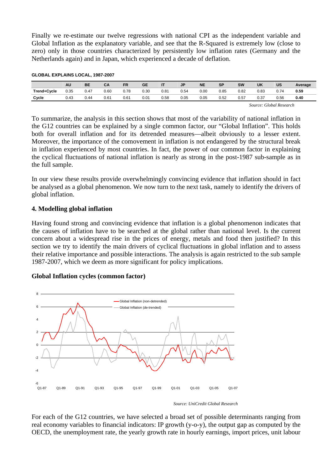Finally we re-estimate our twelve regressions with national CPI as the independent variable and Global Inflation as the explanatory variable, and see that the R-Squared is extremely low (close to zero) only in those countries characterized by persistently low inflation rates (Germany and the Netherlands again) and in Japan, which experienced a decade of deflation.

|             | <b>AU</b> | <b>BE</b> | CA   | <b>FR</b> | <b>GE</b> | ιτ   | J <sub>P</sub> | <b>NE</b> | <b>SP</b> | <b>SW</b> | UK   | <b>US</b> | Average |
|-------------|-----------|-----------|------|-----------|-----------|------|----------------|-----------|-----------|-----------|------|-----------|---------|
| Trend+Cycle | 0.35      | 0.47      | 0.60 | 0.78      | 0.30      | 0.81 | 0.54           | 0.00      | 0.85      | 0.82      | 0.83 | 0.74      | 0.59    |
| Cycle       | 0.43      | 0.44      | 0.61 | 0.61      | 0.01      | 0.58 | 0.05           | 0.05      | 0.52      | 0.57      | 0.37 | 0.56      | 0.40    |

#### **GLOBAL EXPLAINS LOCAL, 1987-2007**

*Source: Global Research* 

To summarize, the analysis in this section shows that most of the variability of national inflation in the G12 countries can be explained by a single common factor, our "Global Inflation". This holds both for overall inflation and for its detrended measures—albeit obviously to a lesser extent. Moreover, the importance of the comovement in inflation is not endangered by the structural break in inflation experienced by most countries. In fact, the power of our common factor in explaining the cyclical fluctuations of national inflation is nearly as strong in the post-1987 sub-sample as in the full sample.

In our view these results provide overwhelmingly convincing evidence that inflation should in fact be analysed as a global phenomenon. We now turn to the next task, namely to identify the drivers of global inflation.

## **4. Modelling global inflation**

Having found strong and convincing evidence that inflation is a global phenomenon indicates that the causes of inflation have to be searched at the global rather than national level. Is the current concern about a widespread rise in the prices of energy, metals and food then justified? In this section we try to identify the main drivers of cyclical fluctuations in global inflation and to assess their relative importance and possible interactions. The analysis is again restricted to the sub sample 1987-2007, which we deem as more significant for policy implications.

## **Global Inflation cycles (common factor)**



*Source: UniCredit Global Research* 

For each of the G12 countries, we have selected a broad set of possible determinants ranging from real economy variables to financial indicators: IP growth (y-o-y), the output gap as computed by the OECD, the unemployment rate, the yearly growth rate in hourly earnings, import prices, unit labour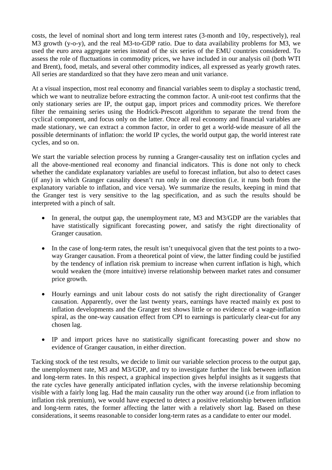costs, the level of nominal short and long term interest rates (3-month and 10y, respectively), real M3 growth (y-o-y), and the real M3-to-GDP ratio. Due to data availability problems for M3, we used the euro area aggregate series instead of the six series of the EMU countries considered. To assess the role of fluctuations in commodity prices, we have included in our analysis oil (both WTI and Brent), food, metals, and several other commodity indices, all expressed as yearly growth rates. All series are standardized so that they have zero mean and unit variance.

At a visual inspection, most real economy and financial variables seem to display a stochastic trend, which we want to neutralize before extracting the common factor. A unit-root test confirms that the only stationary series are IP, the output gap, import prices and commodity prices. We therefore filter the remaining series using the Hodrick-Prescott algorithm to separate the trend from the cyclical component, and focus only on the latter. Once all real economy and financial variables are made stationary, we can extract a common factor, in order to get a world-wide measure of all the possible determinants of inflation: the world IP cycles, the world output gap, the world interest rate cycles, and so on.

We start the variable selection process by running a Granger-causality test on inflation cycles and all the above-mentioned real economy and financial indicators. This is done not only to check whether the candidate explanatory variables are useful to forecast inflation, but also to detect cases (if any) in which Granger causality doesn't run only in one direction (i.e. it runs both from the explanatory variable to inflation, and vice versa). We summarize the results, keeping in mind that the Granger test is very sensitive to the lag specification, and as such the results should be interpreted with a pinch of salt.

- In general, the output gap, the unemployment rate, M3 and M3/GDP are the variables that have statistically significant forecasting power, and satisfy the right directionality of Granger causation.
- In the case of long-term rates, the result isn't unequivocal given that the test points to a twoway Granger causation. From a theoretical point of view, the latter finding could be justified by the tendency of inflation risk premium to increase when current inflation is high, which would weaken the (more intuitive) inverse relationship between market rates and consumer price growth.
- Hourly earnings and unit labour costs do not satisfy the right directionality of Granger causation. Apparently, over the last twenty years, earnings have reacted mainly ex post to inflation developments and the Granger test shows little or no evidence of a wage-inflation spiral, as the one-way causation effect from CPI to earnings is particularly clear-cut for any chosen lag.
- IP and import prices have no statistically significant forecasting power and show no evidence of Granger causation, in either direction.

Tacking stock of the test results, we decide to limit our variable selection process to the output gap, the unemployment rate, M3 and M3/GDP, and try to investigate further the link between inflation and long-term rates. In this respect, a graphical inspection gives helpful insights as it suggests that the rate cycles have generally anticipated inflation cycles, with the inverse relationship becoming visible with a fairly long lag. Had the main causality run the other way around (i.e from inflation to inflation risk premium), we would have expected to detect a positive relationship between inflation and long-term rates, the former affecting the latter with a relatively short lag. Based on these considerations, it seems reasonable to consider long-term rates as a candidate to enter our model.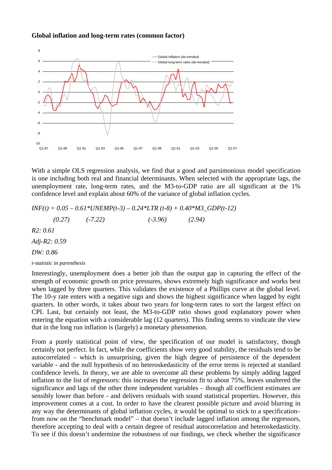#### **Global inflation and long-term rates (common factor)**



With a simple OLS regression analysis, we find that a good and parsimonious model specification is one including both real and financial determinants. When selected with the appropriate lags, the unemployment rate, long-term rates, and the M3-to-GDP ratio are all significant at the 1% confidence level and explain about 60% of the variance of global inflation cycles.

 $INF(t) = 0.05 - 0.61*UNEMP(t-3) - 0.24*LTR(t-8) + 0.40*M3_GDP(t-12)$  *(0.27) (-7.22) (-3.96) (2.94) R2: 0.61 Adj-R2: 0.59 DW: 0.86 t-statistic in parenthesis* 

Interestingly, unemployment does a better job than the output gap in capturing the effect of the strength of economic growth on price pressures, shows extremely high significance and works best when lagged by three quarters. This validates the existence of a Phillips curve at the global level. The 10-y rate enters with a negative sign and shows the highest significance when lagged by eight quarters. In other words, it takes about two years for long-term rates to sort the largest effect on CPI. Last, but certainly not least, the M3-to-GDP ratio shows good explanatory power when entering the equation with a considerable lag (12 quarters). This finding seems to vindicate the view that in the long run inflation is (largely) a monetary phenomenon.

From a purely statistical point of view, the specification of our model is satisfactory, though certainly not perfect. In fact, while the coefficients show very good stability, the residuals tend to be autocorrelated – which is unsurprising, given the high degree of persistence of the dependent variable - and the null hypothesis of no heteroskedasticity of the error terms is rejected at standard confidence levels. In theory, we are able to overcome all these problems by simply adding lagged inflation to the list of regressors: this increases the regression fit to about 75%, leaves unaltered the significance and lags of the other three independent variables – though all coefficient estimates are sensibly lower than before - and delivers residuals with sound statistical properties. However, this improvement comes at a cost. In order to have the clearest possible picture and avoid blurring in any way the determinants of global inflation cycles, it would be optimal to stick to a specification– from now on the "benchmark model" – that doesn't include lagged inflation among the regressors, therefore accepting to deal with a certain degree of residual autocorrelation and heteroskedasticity. To see if this doesn't undermine the robustness of our findings, we check whether the significance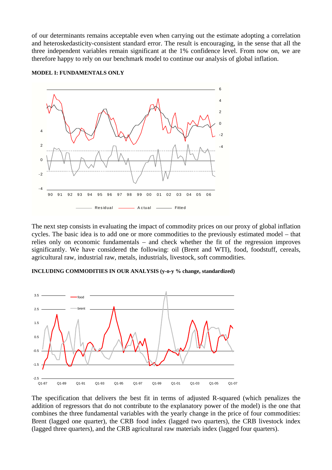of our determinants remains acceptable even when carrying out the estimate adopting a correlation and heteroskedasticity-consistent standard error. The result is encouraging, in the sense that all the three independent variables remain significant at the 1% confidence level. From now on, we are therefore happy to rely on our benchmark model to continue our analysis of global inflation.



**MODEL I: FUNDAMENTALS ONLY** 

The next step consists in evaluating the impact of commodity prices on our proxy of global inflation cycles. The basic idea is to add one or more commodities to the previously estimated model – that relies only on economic fundamentals – and check whether the fit of the regression improves significantly. We have considered the following: oil (Brent and WTI), food, foodstuff, cereals, agricultural raw, industrial raw, metals, industrials, livestock, soft commodities.

### **INCLUDING COMMODITIES IN OUR ANALYSIS (y-o-y % change, standardized)**



The specification that delivers the best fit in terms of adjusted R-squared (which penalizes the addition of regressors that do not contribute to the explanatory power of the model) is the one that combines the three fundamental variables with the yearly change in the price of four commodities: Brent (lagged one quarter), the CRB food index (lagged two quarters), the CRB livestock index (lagged three quarters), and the CRB agricultural raw materials index (lagged four quarters).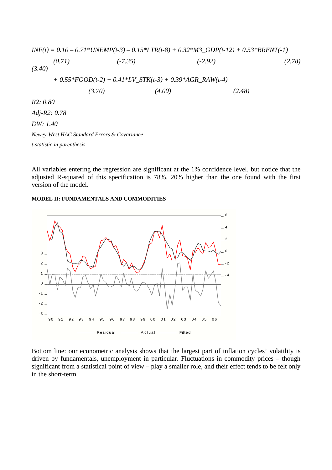$$
INF(t) = 0.10 - 0.71*UNEMP(t-3) - 0.15*LTR(t-8) + 0.32*M3_GDP(t-12) + 0.53*BRENT(-1)
$$
\n(0.71) (-7.35) (-2.92) (2.78)  
\n(3.40)  
\n+ 0.55\*FOOD(t-2) + 0.41\*LV\_STK(t-3) + 0.39\*AGR\_RAW(t-4)  
\n(3.70) (4.00) (2.48)  
\nR2: 0.80  
\nAdj-R2: 0.78  
\nDW: 1.40  
\nNewey-West HAC Standard Errors & Covariance  
\nt-statistic in parentheses

All variables entering the regression are significant at the 1% confidence level, but notice that the adjusted R-squared of this specification is 78%, 20% higher than the one found with the first version of the model.

#### **MODEL II: FUNDAMENTALS AND COMMODITIES**



Bottom line: our econometric analysis shows that the largest part of inflation cycles' volatility is driven by fundamentals, unemployment in particular. Fluctuations in commodity prices – though significant from a statistical point of view – play a smaller role, and their effect tends to be felt only in the short-term.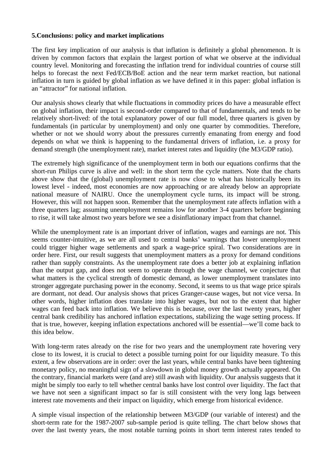## **5.Conclusions: policy and market implications**

The first key implication of our analysis is that inflation is definitely a global phenomenon. It is driven by common factors that explain the largest portion of what we observe at the individual country level. Monitoring and forecasting the inflation trend for individual countries of course still helps to forecast the next Fed/ECB/BoE action and the near term market reaction, but national inflation in turn is guided by global inflation as we have defined it in this paper: global inflation is an "attractor" for national inflation.

Our analysis shows clearly that while fluctuations in commodity prices do have a measurable effect on global inflation, their impact is second-order compared to that of fundamentals, and tends to be relatively short-lived: of the total explanatory power of our full model, three quarters is given by fundamentals (in particular by unemployment) and only one quarter by commodities. Therefore, whether or not we should worry about the pressures currently emanating from energy and food depends on what we think is happening to the fundamental drivers of inflation, i.e. a proxy for demand strength (the unemployment rate), market interest rates and liquidity (the M3/GDP ratio).

The extremely high significance of the unemployment term in both our equations confirms that the short-run Philips curve is alive and well: in the short term the cycle matters. Note that the charts above show that the (global) unemployment rate is now close to what has historically been its lowest level - indeed, most economies are now approaching or are already below an appropriate national measure of NAIRU. Once the unemployment cycle turns, its impact will be strong. However, this will not happen soon. Remember that the unemployment rate affects inflation with a three quarters lag; assuming unemployment remains low for another 3-4 quarters before beginning to rise, it will take almost two years before we see a disinflationary impact from that channel.

While the unemployment rate is an important driver of inflation, wages and earnings are not. This seems counter-intuitive, as we are all used to central banks' warnings that lower unemployment could trigger higher wage settlements and spark a wage-price spiral. Two considerations are in order here. First, our result suggests that unemployment matters as a proxy for demand conditions rather than supply constraints. As the unemployment rate does a better job at explaining inflation than the output gap, and does not seem to operate through the wage channel, we conjecture that what matters is the cyclical strength of domestic demand, as lower unemployment translates into stronger aggregate purchasing power in the economy. Second, it seems to us that wage price spirals are dormant, not dead. Our analysis shows that prices Granger-cause wages, but not vice versa. In other words, higher inflation does translate into higher wages, but not to the extent that higher wages can feed back into inflation. We believe this is because, over the last twenty years, higher central bank credibility has anchored inflation expectations, stabilizing the wage setting process. If that is true, however, keeping inflation expectations anchored will be essential—we'll come back to this idea below.

With long-term rates already on the rise for two years and the unemployment rate hovering very close to its lowest, it is crucial to detect a possible turning point for our liquidity measure. To this extent, a few observations are in order: over the last years, while central banks have been tightening monetary policy, no meaningful sign of a slowdown in global money growth actually appeared. On the contrary, financial markets were (and are) still awash with liquidity. Our analysis suggests that it might be simply too early to tell whether central banks have lost control over liquidity. The fact that we have not seen a significant impact so far is still consistent with the very long lags between interest rate movements and their impact on liquidity, which emerge from historical evidence.

A simple visual inspection of the relationship between M3/GDP (our variable of interest) and the short-term rate for the 1987-2007 sub-sample period is quite telling. The chart below shows that over the last twenty years, the most notable turning points in short term interest rates tended to